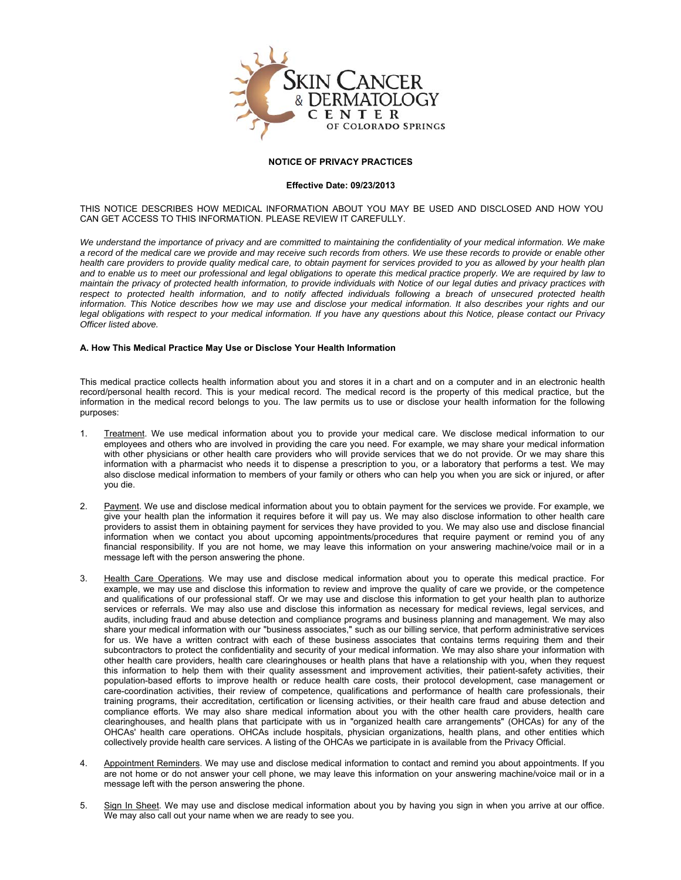

# **NOTICE OF PRIVACY PRACTICES**

## **Effective Date: 09/23/2013**

THIS NOTICE DESCRIBES HOW MEDICAL INFORMATION ABOUT YOU MAY BE USED AND DISCLOSED AND HOW YOU CAN GET ACCESS TO THIS INFORMATION. PLEASE REVIEW IT CAREFULLY.

*We understand the importance of privacy and are committed to maintaining the confidentiality of your medical information. We make a record of the medical care we provide and may receive such records from others. We use these records to provide or enable other health care providers to provide quality medical care, to obtain payment for services provided to you as allowed by your health plan and to enable us to meet our professional and legal obligations to operate this medical practice properly. We are required by law to maintain the privacy of protected health information, to provide individuals with Notice of our legal duties and privacy practices with respect to protected health information, and to notify affected individuals following a breach of unsecured protected health information. This Notice describes how we may use and disclose your medical information. It also describes your rights and our legal obligations with respect to your medical information. If you have any questions about this Notice, please contact our Privacy Officer listed above.*

## **A. How This Medical Practice May Use or Disclose Your Health Information**

This medical practice collects health information about you and stores it in a chart and on a computer and in an electronic health record/personal health record. This is your medical record. The medical record is the property of this medical practice, but the information in the medical record belongs to you. The law permits us to use or disclose your health information for the following purposes:

- 1. Treatment. We use medical information about you to provide your medical care. We disclose medical information to our employees and others who are involved in providing the care you need. For example, we may share your medical information with other physicians or other health care providers who will provide services that we do not provide. Or we may share this information with a pharmacist who needs it to dispense a prescription to you, or a laboratory that performs a test. We may also disclose medical information to members of your family or others who can help you when you are sick or injured, or after you die.
- 2. Payment. We use and disclose medical information about you to obtain payment for the services we provide. For example, we give your health plan the information it requires before it will pay us. We may also disclose information to other health care providers to assist them in obtaining payment for services they have provided to you. We may also use and disclose financial information when we contact you about upcoming appointments/procedures that require payment or remind you of any financial responsibility. If you are not home, we may leave this information on your answering machine/voice mail or in a message left with the person answering the phone.
- 3. Health Care Operations. We may use and disclose medical information about you to operate this medical practice. For example, we may use and disclose this information to review and improve the quality of care we provide, or the competence and qualifications of our professional staff. Or we may use and disclose this information to get your health plan to authorize services or referrals. We may also use and disclose this information as necessary for medical reviews, legal services, and audits, including fraud and abuse detection and compliance programs and business planning and management. We may also share your medical information with our "business associates," such as our billing service, that perform administrative services for us. We have a written contract with each of these business associates that contains terms requiring them and their subcontractors to protect the confidentiality and security of your medical information. We may also share your information with other health care providers, health care clearinghouses or health plans that have a relationship with you, when they request this information to help them with their quality assessment and improvement activities, their patient-safety activities, their population-based efforts to improve health or reduce health care costs, their protocol development, case management or care-coordination activities, their review of competence, qualifications and performance of health care professionals, their training programs, their accreditation, certification or licensing activities, or their health care fraud and abuse detection and compliance efforts. We may also share medical information about you with the other health care providers, health care clearinghouses, and health plans that participate with us in "organized health care arrangements" (OHCAs) for any of the OHCAs' health care operations. OHCAs include hospitals, physician organizations, health plans, and other entities which collectively provide health care services. A listing of the OHCAs we participate in is available from the Privacy Official.
- 4. Appointment Reminders. We may use and disclose medical information to contact and remind you about appointments. If you are not home or do not answer your cell phone, we may leave this information on your answering machine/voice mail or in a message left with the person answering the phone.
- 5. Sign In Sheet. We may use and disclose medical information about you by having you sign in when you arrive at our office. We may also call out your name when we are ready to see you.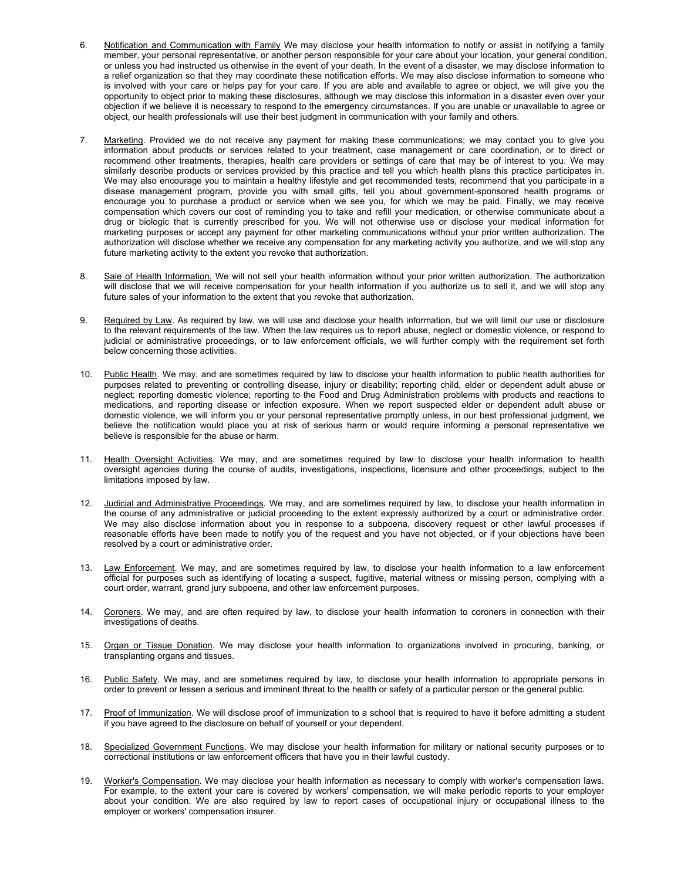- 6. Notification and Communication with Family We may disclose your health information to notify or assist in notifying a family member, your personal representative, or another person responsible for your care about your location, your general condition, or unless you had instructed us otherwise in the event of your death. In the event of a disaster, we may disclose information to a relief organization so that they may coordinate these notification efforts. We may also disclose information to someone who is involved with your care or helps pay for your care. If you are able and available to agree or object, we will give you the opportunity to object prior to making these disclosures, although we may disclose this information in a disaster even over your objection if we believe it is necessary to respond to the emergency circumstances. If you are unable or unavailable to agree or object, our health professionals will use their best judgment in communication with your family and others.
- 7. Marketing. Provided we do not receive any payment for making these communications; we may contact you to give you information about products or services related to your treatment, case management or care coordination, or to direct or recommend other treatments, therapies, health care providers or settings of care that may be of interest to you. We may similarly describe products or services provided by this practice and tell you which health plans this practice participates in. We may also encourage you to maintain a healthy lifestyle and get recommended tests, recommend that you participate in a disease management program, provide you with small gifts, tell you about government-sponsored health programs or encourage you to purchase a product or service when we see you, for which we may be paid. Finally, we may receive compensation which covers our cost of reminding you to take and refill your medication, or otherwise communicate about a drug or biologic that is currently prescribed for you. We will not otherwise use or disclose your medical information for marketing purposes or accept any payment for other marketing communications without your prior written authorization. The authorization will disclose whether we receive any compensation for any marketing activity you authorize, and we will stop any future marketing activity to the extent you revoke that authorization.
- 8. Sale of Health Information. We will not sell your health information without your prior written authorization. The authorization will disclose that we will receive compensation for your health information if you authorize us to sell it, and we will stop any future sales of your information to the extent that you revoke that authorization.
- 9. Required by Law. As required by law, we will use and disclose your health information, but we will limit our use or disclosure to the relevant requirements of the law. When the law requires us to report abuse, neglect or domestic violence, or respond to judicial or administrative proceedings, or to law enforcement officials, we will further comply with the requirement set forth below concerning those activities.
- 10. Public Health. We may, and are sometimes required by law to disclose your health information to public health authorities for purposes related to preventing or controlling disease, injury or disability; reporting child, elder or dependent adult abuse or neglect; reporting domestic violence; reporting to the Food and Drug Administration problems with products and reactions to medications, and reporting disease or infection exposure. When we report suspected elder or dependent adult abuse or domestic violence, we will inform you or your personal representative promptly unless, in our best professional judgment, we believe the notification would place you at risk of serious harm or would require informing a personal representative we believe is responsible for the abuse or harm.
- 11. Health Oversight Activities. We may, and are sometimes required by law to disclose your health information to health oversight agencies during the course of audits, investigations, inspections, licensure and other proceedings, subject to the limitations imposed by law.
- 12. Judicial and Administrative Proceedings. We may, and are sometimes required by law, to disclose your health information in the course of any administrative or judicial proceeding to the extent expressly authorized by a court or administrative order. We may also disclose information about you in response to a subpoena, discovery request or other lawful processes if reasonable efforts have been made to notify you of the request and you have not objected, or if your objections have been resolved by a court or administrative order.
- 13. Law Enforcement. We may, and are sometimes required by law, to disclose your health information to a law enforcement official for purposes such as identifying of locating a suspect, fugitive, material witness or missing person, complying with a court order, warrant, grand jury subpoena, and other law enforcement purposes.
- 14. Coroners. We may, and are often required by law, to disclose your health information to coroners in connection with their investigations of deaths.
- 15. Organ or Tissue Donation. We may disclose your health information to organizations involved in procuring, banking, or transplanting organs and tissues.
- 16. Public Safety. We may, and are sometimes required by law, to disclose your health information to appropriate persons in order to prevent or lessen a serious and imminent threat to the health or safety of a particular person or the general public.
- 17. Proof of Immunization. We will disclose proof of immunization to a school that is required to have it before admitting a student if you have agreed to the disclosure on behalf of yourself or your dependent.
- 18. Specialized Government Functions. We may disclose your health information for military or national security purposes or to correctional institutions or law enforcement officers that have you in their lawful custody.
- 19. Worker's Compensation. We may disclose your health information as necessary to comply with worker's compensation laws. For example, to the extent your care is covered by workers' compensation, we will make periodic reports to your employer about your condition. We are also required by law to report cases of occupational injury or occupational illness to the employer or workers' compensation insurer.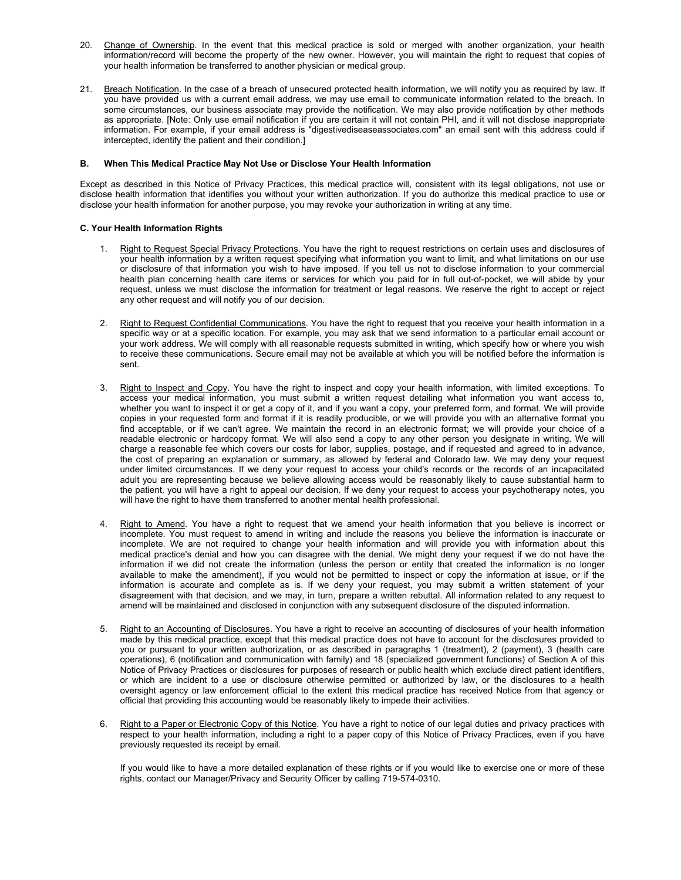- 20. Change of Ownership. In the event that this medical practice is sold or merged with another organization, your health information/record will become the property of the new owner. However, you will maintain the right to request that copies of your health information be transferred to another physician or medical group.
- 21. Breach Notification. In the case of a breach of unsecured protected health information, we will notify you as required by law. If you have provided us with a current email address, we may use email to communicate information related to the breach. In some circumstances, our business associate may provide the notification. We may also provide notification by other methods as appropriate. [Note: Only use email notification if you are certain it will not contain PHI, and it will not disclose inappropriate information. For example, if your email address is "digestivediseaseassociates.com" an email sent with this address could if intercepted, identify the patient and their condition.]

#### **B. When This Medical Practice May Not Use or Disclose Your Health Information**

Except as described in this Notice of Privacy Practices, this medical practice will, consistent with its legal obligations, not use or disclose health information that identifies you without your written authorization. If you do authorize this medical practice to use or disclose your health information for another purpose, you may revoke your authorization in writing at any time.

# **C. Your Health Information Rights**

- 1. Right to Request Special Privacy Protections. You have the right to request restrictions on certain uses and disclosures of your health information by a written request specifying what information you want to limit, and what limitations on our use or disclosure of that information you wish to have imposed. If you tell us not to disclose information to your commercial health plan concerning health care items or services for which you paid for in full out-of-pocket, we will abide by your request, unless we must disclose the information for treatment or legal reasons. We reserve the right to accept or reject any other request and will notify you of our decision.
- 2. Right to Request Confidential Communications. You have the right to request that you receive your health information in a specific way or at a specific location. For example, you may ask that we send information to a particular email account or your work address. We will comply with all reasonable requests submitted in writing, which specify how or where you wish to receive these communications. Secure email may not be available at which you will be notified before the information is sent.
- 3. Right to Inspect and Copy. You have the right to inspect and copy your health information, with limited exceptions. To access your medical information, you must submit a written request detailing what information you want access to, whether you want to inspect it or get a copy of it, and if you want a copy, your preferred form, and format. We will provide copies in your requested form and format if it is readily producible, or we will provide you with an alternative format you find acceptable, or if we can't agree. We maintain the record in an electronic format; we will provide your choice of a readable electronic or hardcopy format. We will also send a copy to any other person you designate in writing. We will charge a reasonable fee which covers our costs for labor, supplies, postage, and if requested and agreed to in advance, the cost of preparing an explanation or summary, as allowed by federal and Colorado law. We may deny your request under limited circumstances. If we deny your request to access your child's records or the records of an incapacitated adult you are representing because we believe allowing access would be reasonably likely to cause substantial harm to the patient, you will have a right to appeal our decision. If we deny your request to access your psychotherapy notes, you will have the right to have them transferred to another mental health professional.
- 4. Right to Amend. You have a right to request that we amend your health information that you believe is incorrect or incomplete. You must request to amend in writing and include the reasons you believe the information is inaccurate or incomplete. We are not required to change your health information and will provide you with information about this medical practice's denial and how you can disagree with the denial. We might deny your request if we do not have the information if we did not create the information (unless the person or entity that created the information is no longer available to make the amendment), if you would not be permitted to inspect or copy the information at issue, or if the information is accurate and complete as is. If we deny your request, you may submit a written statement of your disagreement with that decision, and we may, in turn, prepare a written rebuttal. All information related to any request to amend will be maintained and disclosed in conjunction with any subsequent disclosure of the disputed information.
- 5. Right to an Accounting of Disclosures. You have a right to receive an accounting of disclosures of your health information made by this medical practice, except that this medical practice does not have to account for the disclosures provided to you or pursuant to your written authorization, or as described in paragraphs 1 (treatment), 2 (payment), 3 (health care operations), 6 (notification and communication with family) and 18 (specialized government functions) of Section A of this Notice of Privacy Practices or disclosures for purposes of research or public health which exclude direct patient identifiers, or which are incident to a use or disclosure otherwise permitted or authorized by law, or the disclosures to a health oversight agency or law enforcement official to the extent this medical practice has received Notice from that agency or official that providing this accounting would be reasonably likely to impede their activities.
- Right to a Paper or Electronic Copy of this Notice. You have a right to notice of our legal duties and privacy practices with respect to your health information, including a right to a paper copy of this Notice of Privacy Practices, even if you have previously requested its receipt by email.

If you would like to have a more detailed explanation of these rights or if you would like to exercise one or more of these rights, contact our Manager/Privacy and Security Officer by calling 719-574-0310.